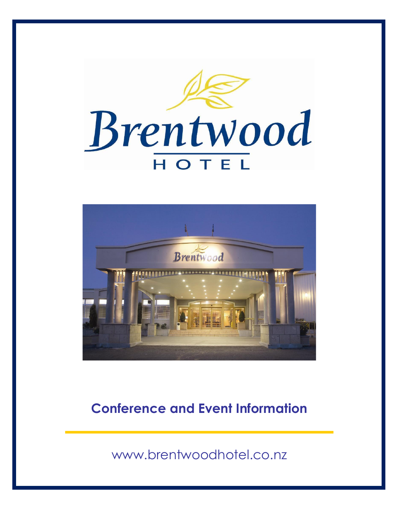



## **Conference and Event Information**

[www.brentwoodhotel.co.nz](http://www.brentwoodhotel.co.nz/)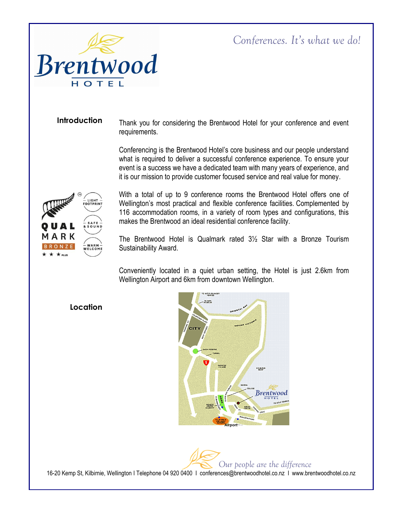

#### **Introduction**

Thank you for considering the Brentwood Hotel for your conference and event requirements.

Conferencing is the Brentwood Hotel's core business and our people understand what is required to deliver a successful conference experience. To ensure your event is a success we have a dedicated team with many years of experience, and it is our mission to provide customer focused service and real value for money.



With a total of up to 9 conference rooms the Brentwood Hotel offers one of Wellington's most practical and flexible conference facilities. Complemented by 116 accommodation rooms, in a variety of room types and configurations, this makes the Brentwood an ideal residential conference facility.

The Brentwood Hotel is Qualmark rated 3½ Star with a Bronze Tourism Sustainability Award.

Conveniently located in a quiet urban setting, the Hotel is just 2.6km from Wellington Airport and 6km from downtown Wellington.

#### **Location**



*Our people are the difference* 16-20 Kemp St, Kilbirnie, Wellington I Telephone 04 920 0400 I conferences@brentwoodhotel.co.nz I www.brentwoodhotel.co.nz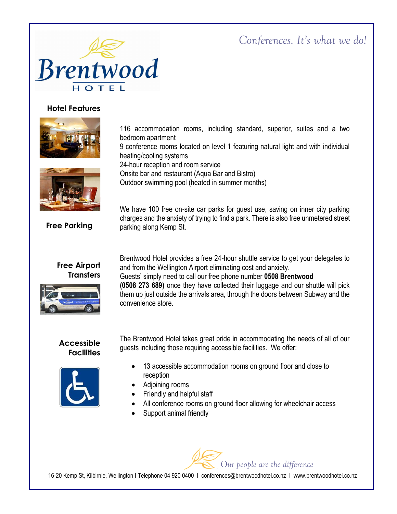

#### **Hotel Features**



116 accommodation rooms, including standard, superior, suites and a two bedroom apartment

9 conference rooms located on level 1 featuring natural light and with individual heating/cooling systems

24-hour reception and room service

Onsite bar and restaurant (Aqua Bar and Bistro)

Outdoor swimming pool (heated in summer months)

We have 100 free on-site car parks for guest use, saving on inner city parking charges and the anxiety of trying to find a park. There is also free unmetered street parking along Kemp St.

**Free Parking**

#### **Free Airport Transfers**



Brentwood Hotel provides a free 24-hour shuttle service to get your delegates to and from the Wellington Airport eliminating cost and anxiety. Guests' simply need to call our free phone number **0508 Brentwood (0508 273 689)** once they have collected their luggage and our shuttle will pick them up just outside the arrivals area, through the doors between Subway and the convenience store.

#### **Accessible Facilities**



The Brentwood Hotel takes great pride in accommodating the needs of all of our guests including those requiring accessible facilities. We offer:

- 13 accessible accommodation rooms on ground floor and close to reception
- Adjoining rooms
- Friendly and helpful staff
- All conference rooms on ground floor allowing for wheelchair access
- Support animal friendly

*Our people are the difference* 16-20 Kemp St, Kilbirnie, Wellington I Telephone 04 920 0400 I conferences@brentwoodhotel.co.nz I www.brentwoodhotel.co.nz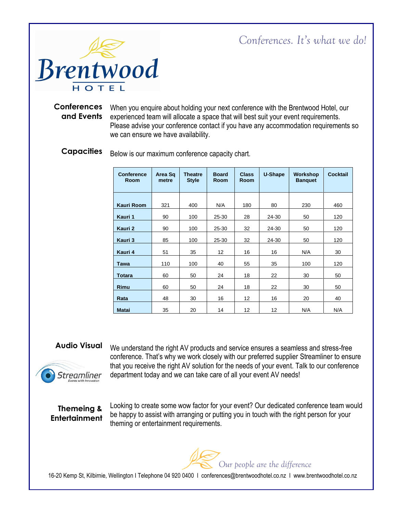



Conferences When you enquire about holding your next conference with the Brentwood Hotel, our and Events experienced team will allocate a space that will best suit your event requirements. Please advise your conference contact if you have any accommodation requirements so we can ensure we have availability.

#### Below is our maximum conference capacity chart. **Capacities**

| <b>Conference</b><br><b>Room</b> | Area Sq<br>metre | <b>Theatre</b><br><b>Style</b> | <b>Board</b><br><b>Room</b> | <b>Class</b><br><b>Room</b> | U-Shape | Workshop<br><b>Banquet</b> | Cocktail |
|----------------------------------|------------------|--------------------------------|-----------------------------|-----------------------------|---------|----------------------------|----------|
| Kauri Room                       | 321              | 400                            | N/A                         | 180                         | 80      | 230                        | 460      |
| Kauri 1                          | 90               | 100                            | $25 - 30$                   | 28                          | 24-30   | 50                         | 120      |
| Kauri 2                          | 90               | 100                            | $25 - 30$                   | 32                          | 24-30   | 50                         | 120      |
| Kauri 3                          | 85               | 100                            | $25 - 30$                   | 32                          | 24-30   | 50                         | 120      |
| Kauri 4                          | 51               | 35                             | 12                          | 16                          | 16      | N/A                        | 30       |
| Tawa                             | 110              | 100                            | 40                          | 55                          | 35      | 100                        | 120      |
| <b>Totara</b>                    | 60               | 50                             | 24                          | 18                          | 22      | 30                         | 50       |
| Rimu                             | 60               | 50                             | 24                          | 18                          | 22      | 30                         | 50       |
| Rata                             | 48               | 30                             | 16                          | 12                          | 16      | 20                         | 40       |
| <b>Matai</b>                     | 35               | 20                             | 14                          | 12                          | 12      | N/A                        | N/A      |

#### **Audio Visual**



We understand the right AV products and service ensures a seamless and stress-free conference. That's why we work closely with our preferred supplier Streamliner to ensure that you receive the right AV solution for the needs of your event. Talk to our conference department today and we can take care of all your event AV needs!

#### **Themeing & Entertainment**

Looking to create some wow factor for your event? Our dedicated conference team would be happy to assist with arranging or putting you in touch with the right person for your theming or entertainment requirements.

*Our people are the difference*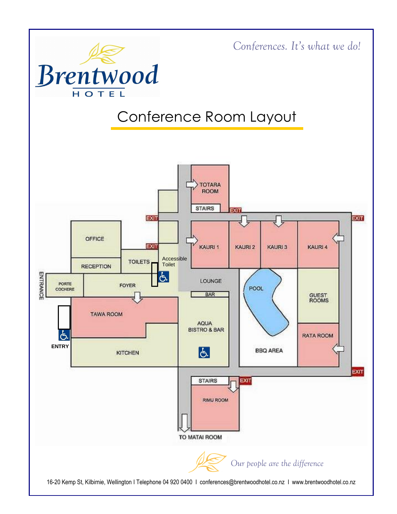

16-20 Kemp St, Kilbirnie, Wellington I Telephone 04 920 0400 I conferences@brentwoodhotel.co.nz I www.brentwoodhotel.co.nz

*Our people are the difference*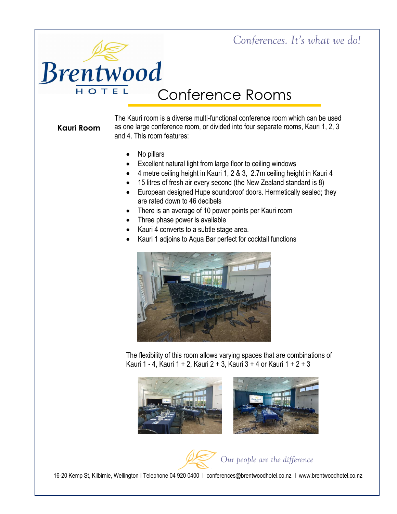# **Brentwood** HOTEL

# Conference Rooms

### **Kauri Room**

The Kauri room is a diverse multi-functional conference room which can be used as one large conference room, or divided into four separate rooms, Kauri 1, 2, 3 and 4. This room features:

- No pillars
- Excellent natural light from large floor to ceiling windows
- 4 metre ceiling height in Kauri 1, 2 & 3, 2.7m ceiling height in Kauri 4
- 15 litres of fresh air every second (the New Zealand standard is 8)
- European designed Hupe soundproof doors. Hermetically sealed; they are rated down to 46 decibels
- There is an average of 10 power points per Kauri room
- Three phase power is available
- Kauri 4 converts to a subtle stage area.
- Kauri 1 adjoins to Aqua Bar perfect for cocktail functions



The flexibility of this room allows varying spaces that are combinations of Kauri 1 - 4, Kauri 1 + 2, Kauri 2 + 3, Kauri 3 + 4 or Kauri 1 + 2 + 3



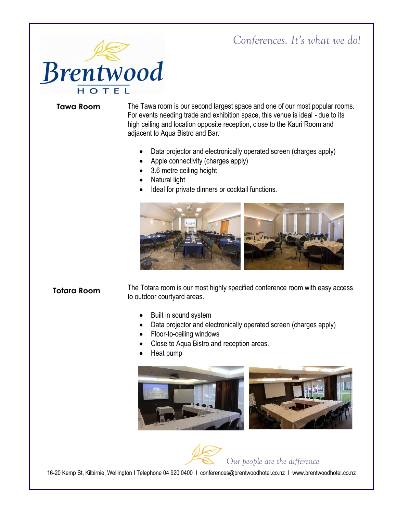

#### **Tawa Room**

The Tawa room is our second largest space and one of our most popular rooms. For events needing trade and exhibition space, this venue is ideal - due to its high ceiling and location opposite reception, close to the Kauri Room and adjacent to Aqua Bistro and Bar.

- Data projector and electronically operated screen (charges apply)
- Apple connectivity (charges apply)
- 3.6 metre ceiling height
- Natural light
- Ideal for private dinners or cocktail functions.



#### **Totara Room**

The Totara room is our most highly specified conference room with easy access to outdoor courtyard areas.

- Built in sound system
- Data projector and electronically operated screen (charges apply)
- Floor-to-ceiling windows
- Close to Aqua Bistro and reception areas.
- Heat pump



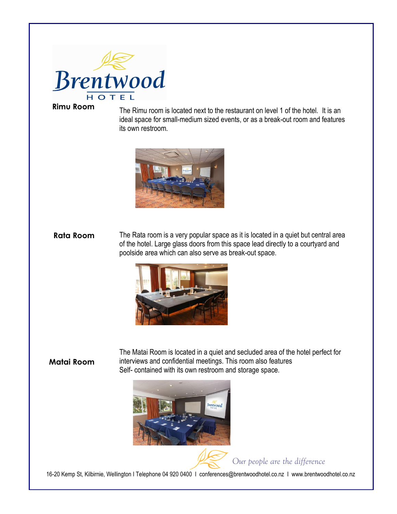

#### **Rimu Room**

The Rimu room is located next to the restaurant on level 1 of the hotel. It is an ideal space for small-medium sized events, or as a break-out room and features its own restroom.



The Rata room is a very popular space as it is located in a quiet but central area of the hotel. Large glass doors from this space lead directly to a courtyard and poolside area which can also serve as break-out space. **Rata Room**



#### **Matai Room**

The Matai Room is located in a quiet and secluded area of the hotel perfect for interviews and confidential meetings. This room also features Self- contained with its own restroom and storage space.



*Our people are the difference*